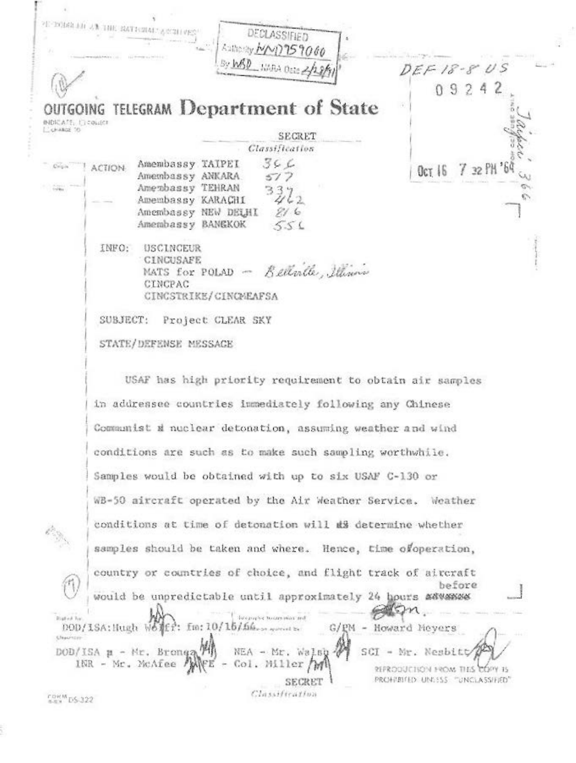|                                         | REPORTED AT THE RATIONAL ACTIVES.<br>DECLASSIFIED                                                                                                                                             |  |  |  |
|-----------------------------------------|-----------------------------------------------------------------------------------------------------------------------------------------------------------------------------------------------|--|--|--|
|                                         | Authority MMD 759060<br>By WBD NARA DEED 2/2<br>$DEF 18 - 805$                                                                                                                                |  |  |  |
|                                         | 09242                                                                                                                                                                                         |  |  |  |
| <b>INDICATE: LICOLIER</b><br>CCHARGE TO | <b>OUTGOING TELEGRAM Department of State</b>                                                                                                                                                  |  |  |  |
|                                         | <b>SECRET</b><br>Classification                                                                                                                                                               |  |  |  |
| Crisin                                  | 366<br>Amembassy TAIPEI<br><b>ACTION</b><br>$7.32$ PH<br>$0c$ <sub>T</sub> $16$<br>Amembassy ANKARA<br>Amenbassy TEHRAN                                                                       |  |  |  |
|                                         | Amembassy KARACHI<br>Amembassy NEW DELHI<br>216<br>Amembassy BANEKOK<br>556                                                                                                                   |  |  |  |
|                                         | INFO:<br>USCINCEUR<br>CINCUSAFE<br>MATS for POLAD - Belleville, Illians<br>CINCPAC<br>CINCSTRIKE/CINCMEAFSA                                                                                   |  |  |  |
|                                         | SUBJECT:<br>Project CLEAR SKY                                                                                                                                                                 |  |  |  |
|                                         | STATE/DEFENSE MESSAGE                                                                                                                                                                         |  |  |  |
|                                         | USAF has high priority requirement to obtain air samples                                                                                                                                      |  |  |  |
|                                         | in addressee countries immediately following any Chinese                                                                                                                                      |  |  |  |
|                                         | Communist a nuclear detonation, assuming weather and wind                                                                                                                                     |  |  |  |
|                                         | conditions are such as to make such sampling worthwhile.                                                                                                                                      |  |  |  |
|                                         | Samples would be obtained with up to six USAF C-130 or                                                                                                                                        |  |  |  |
|                                         | WB-50 aircraft operated by the Air Weather Service. Weather                                                                                                                                   |  |  |  |
|                                         | conditions at time of detonation will as determine whether                                                                                                                                    |  |  |  |
|                                         | samples should be taken and where. Hence, time ofoperation,                                                                                                                                   |  |  |  |
| (11                                     | country or countries of choice, and flight track of aircraft<br>before<br>would be unpredictable until approximately 24 hours #8049946                                                        |  |  |  |
| <b>Bratish Red</b>                      | because to more interest<br>$f_{10}$ : 10/16/56<br>DOD/ISA: Hugh W6<br>G/PM - Howard Meyers                                                                                                   |  |  |  |
| Chacross-                               | DOD/ISA $\mu$ - Mr. Bronga MA<br>- Mr. Walso 4<br>SCI - Mr. Nesbitt<br>INR - Mr. McAfee<br>Col. Miller<br>REPRODUCTION FROM THIS COPY IS<br>PROHPBITED UNESSS "UNCLASSIFIED"<br><b>SECRET</b> |  |  |  |
| $5.04M$ DS-322                          | Classification                                                                                                                                                                                |  |  |  |

with the first collection

峰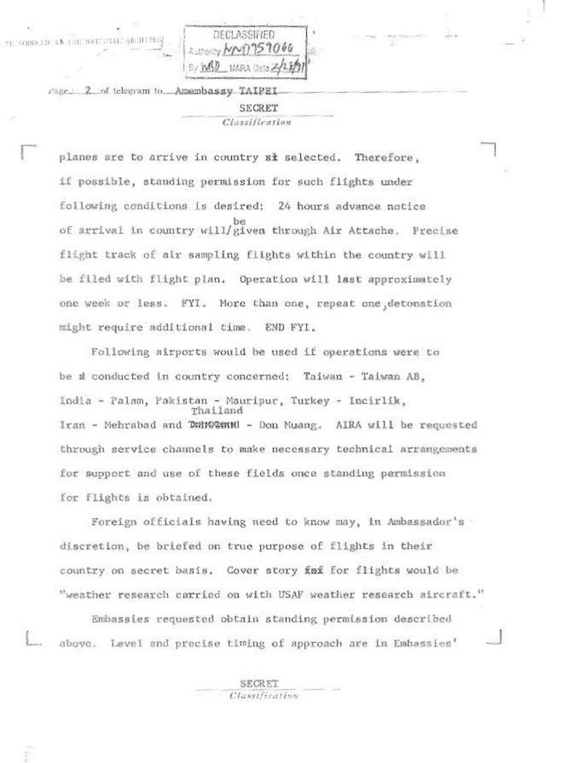DECLASSIFIED IS 1060  $5.0000$ 

2 of telegram to. Amembassy TAIPEI rage 1 SECRET Classification

COBRETT AN THE BATTINAL AR ILLING

planes are to arrive in country xx selected. Therefore. if possible, standing permission for such flights under following conditions is desired: 24 hours advance notice be of arrival in country will/given through Air Attache. Precise flight track of air sampling flights within the country will be filed with flight plan. Operation will last approximately one week or less. FYI. More than one, repeat one detonation might require additional time. END FYI.

Following airports would be used if operations were to be a conducted in country concerned: Taiwan - Taiwan AB, India - Palam, Pakistan - Mauripur, Turkey - Incirlik, Thailand Iran - Mehrabad and Donogoned - Don Muang. AIRA will be requested through service channels to make necessary technical arrangements for support and use of these fields once standing permission for flights is obtained.

Foreign officials having need to know may, in Ambassador's . discretion, be briefed on true purpose of flights in their country on secret basis. Cover story faf for flights would be "weather research carried on with USAF weather research aircraft."

Embassies requested obtain standing permission described above. Level and precise timing of approach are in Embassies'

> **SECRET** Classification